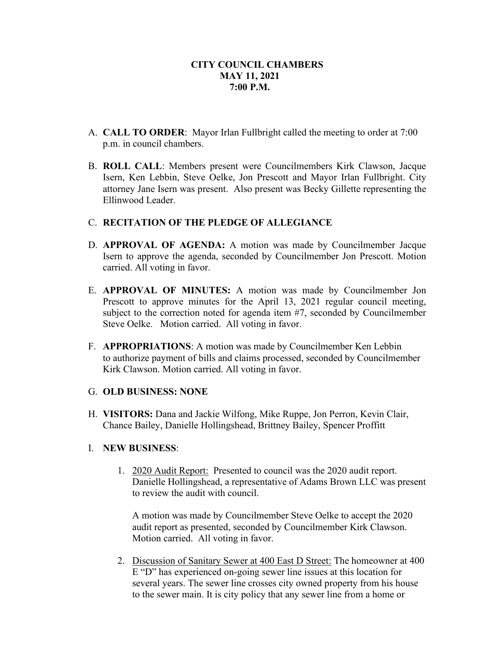- A. **CALL TO ORDER**: Mayor Irlan Fullbright called the meeting to order at 7:00 p.m. in council chambers.
- B. **ROLL CALL**: Members present were Councilmembers Kirk Clawson, Jacque Isern, Ken Lebbin, Steve Oelke, Jon Prescott and Mayor Irlan Fullbright. City attorney Jane Isern was present. Also present was Becky Gillette representing the Ellinwood Leader.

# C. **RECITATION OF THE PLEDGE OF ALLEGIANCE**

- D. **APPROVAL OF AGENDA:** A motion was made by Councilmember Jacque Isern to approve the agenda, seconded by Councilmember Jon Prescott. Motion carried. All voting in favor.
- E. **APPROVAL OF MINUTES:** A motion was made by Councilmember Jon Prescott to approve minutes for the April 13, 2021 regular council meeting, subject to the correction noted for agenda item #7, seconded by Councilmember Steve Oelke. Motion carried. All voting in favor.
- F. **APPROPRIATIONS**: A motion was made by Councilmember Ken Lebbin to authorize payment of bills and claims processed, seconded by Councilmember Kirk Clawson. Motion carried. All voting in favor.

### G. **OLD BUSINESS: NONE**

H. **VISITORS:** Dana and Jackie Wilfong, Mike Ruppe, Jon Perron, Kevin Clair, Chance Bailey, Danielle Hollingshead, Brittney Bailey, Spencer Proffitt

### I. **NEW BUSINESS**:

1. 2020 Audit Report: Presented to council was the 2020 audit report. Danielle Hollingshead, a representative of Adams Brown LLC was present to review the audit with council.

A motion was made by Councilmember Steve Oelke to accept the 2020 audit report as presented, seconded by Councilmember Kirk Clawson. Motion carried. All voting in favor.

2. Discussion of Sanitary Sewer at 400 East D Street: The homeowner at 400 E "D" has experienced on-going sewer line issues at this location for several years. The sewer line crosses city owned property from his house to the sewer main. It is city policy that any sewer line from a home or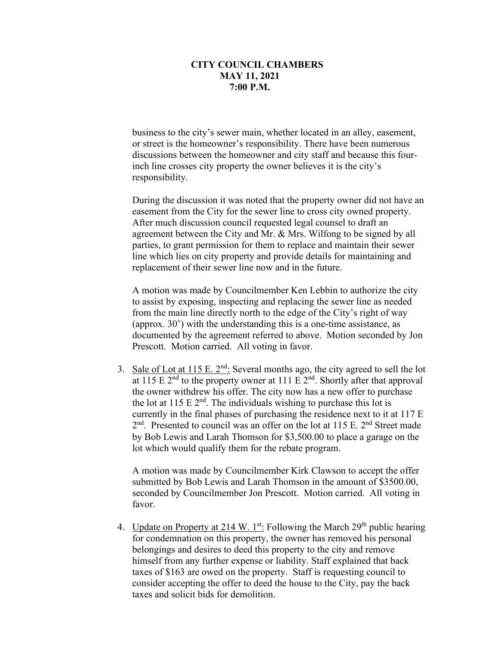business to the city's sewer main, whether located in an alley, easement, or street is the homeowner's responsibility. There have been numerous discussions between the homeowner and city staff and because this fourinch line crosses city property the owner believes it is the city's responsibility.

During the discussion it was noted that the property owner did not have an easement from the City for the sewer line to cross city owned property. After much discussion council requested legal counsel to draft an agreement between the City and Mr. & Mrs. Wilfong to be signed by all parties, to grant permission for them to replace and maintain their sewer line which lies on city property and provide details for maintaining and replacement of their sewer line now and in the future.

A motion was made by Councilmember Ken Lebbin to authorize the city to assist by exposing, inspecting and replacing the sewer line as needed from the main line directly north to the edge of the City's right of way (approx. 30') with the understanding this is a one-time assistance, as documented by the agreement referred to above. Motion seconded by Jon Prescott. Motion carried. All voting in favor.

3. Sale of Lot at 115 E.  $2<sup>nd</sup>$ : Several months ago, the city agreed to sell the lot at 115 E  $2<sup>nd</sup>$  to the property owner at 111 E  $2<sup>nd</sup>$ . Shortly after that approval the owner withdrew his offer. The city now has a new offer to purchase the lot at 115 E  $2<sup>nd</sup>$ . The individuals wishing to purchase this lot is currently in the final phases of purchasing the residence next to it at 117 E 2<sup>nd</sup>. Presented to council was an offer on the lot at 115 E. 2<sup>nd</sup> Street made by Bob Lewis and Larah Thomson for \$3,500.00 to place a garage on the lot which would qualify them for the rebate program.

A motion was made by Councilmember Kirk Clawson to accept the offer submitted by Bob Lewis and Larah Thomson in the amount of \$3500.00, seconded by Councilmember Jon Prescott. Motion carried. All voting in favor.

4. Update on Property at 214 W. 1st: Following the March  $29<sup>th</sup>$  public hearing for condemnation on this property, the owner has removed his personal belongings and desires to deed this property to the city and remove himself from any further expense or liability. Staff explained that back taxes of \$163 are owed on the property. Staff is requesting council to consider accepting the offer to deed the house to the City, pay the back taxes and solicit bids for demolition.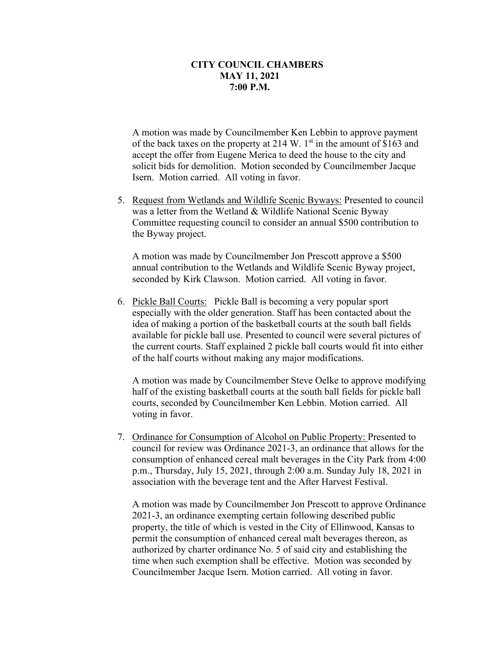A motion was made by Councilmember Ken Lebbin to approve payment of the back taxes on the property at 214 W. 1<sup>st</sup> in the amount of \$163 and accept the offer from Eugene Merica to deed the house to the city and solicit bids for demolition. Motion seconded by Councilmember Jacque Isern. Motion carried. All voting in favor.

5. Request from Wetlands and Wildlife Scenic Byways: Presented to council was a letter from the Wetland & Wildlife National Scenic Byway Committee requesting council to consider an annual \$500 contribution to the Byway project.

A motion was made by Councilmember Jon Prescott approve a \$500 annual contribution to the Wetlands and Wildlife Scenic Byway project, seconded by Kirk Clawson. Motion carried. All voting in favor.

6. Pickle Ball Courts: Pickle Ball is becoming a very popular sport especially with the older generation. Staff has been contacted about the idea of making a portion of the basketball courts at the south ball fields available for pickle ball use. Presented to council were several pictures of the current courts. Staff explained 2 pickle ball courts would fit into either of the half courts without making any major modifications.

A motion was made by Councilmember Steve Oelke to approve modifying half of the existing basketball courts at the south ball fields for pickle ball courts, seconded by Councilmember Ken Lebbin. Motion carried. All voting in favor.

7. Ordinance for Consumption of Alcohol on Public Property: Presented to council for review was Ordinance 2021-3, an ordinance that allows for the consumption of enhanced cereal malt beverages in the City Park from 4:00 p.m., Thursday, July 15, 2021, through 2:00 a.m. Sunday July 18, 2021 in association with the beverage tent and the After Harvest Festival.

A motion was made by Councilmember Jon Prescott to approve Ordinance 2021-3, an ordinance exempting certain following described public property, the title of which is vested in the City of Ellinwood, Kansas to permit the consumption of enhanced cereal malt beverages thereon, as authorized by charter ordinance No. 5 of said city and establishing the time when such exemption shall be effective. Motion was seconded by Councilmember Jacque Isern. Motion carried. All voting in favor.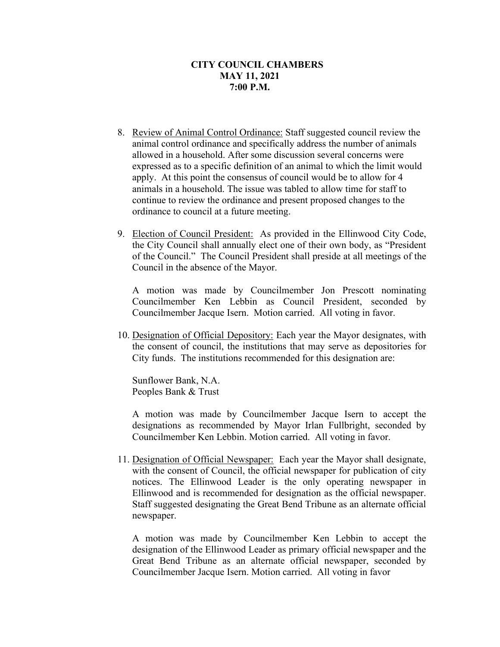- 8. Review of Animal Control Ordinance: Staff suggested council review the animal control ordinance and specifically address the number of animals allowed in a household. After some discussion several concerns were expressed as to a specific definition of an animal to which the limit would apply. At this point the consensus of council would be to allow for 4 animals in a household. The issue was tabled to allow time for staff to continue to review the ordinance and present proposed changes to the ordinance to council at a future meeting.
- 9. Election of Council President: As provided in the Ellinwood City Code, the City Council shall annually elect one of their own body, as "President of the Council." The Council President shall preside at all meetings of the Council in the absence of the Mayor.

A motion was made by Councilmember Jon Prescott nominating Councilmember Ken Lebbin as Council President, seconded by Councilmember Jacque Isern. Motion carried. All voting in favor.

10. Designation of Official Depository: Each year the Mayor designates, with the consent of council, the institutions that may serve as depositories for City funds. The institutions recommended for this designation are:

Sunflower Bank, N.A. Peoples Bank & Trust

A motion was made by Councilmember Jacque Isern to accept the designations as recommended by Mayor Irlan Fullbright, seconded by Councilmember Ken Lebbin. Motion carried. All voting in favor.

11. Designation of Official Newspaper: Each year the Mayor shall designate, with the consent of Council, the official newspaper for publication of city notices. The Ellinwood Leader is the only operating newspaper in Ellinwood and is recommended for designation as the official newspaper. Staff suggested designating the Great Bend Tribune as an alternate official newspaper.

A motion was made by Councilmember Ken Lebbin to accept the designation of the Ellinwood Leader as primary official newspaper and the Great Bend Tribune as an alternate official newspaper, seconded by Councilmember Jacque Isern. Motion carried. All voting in favor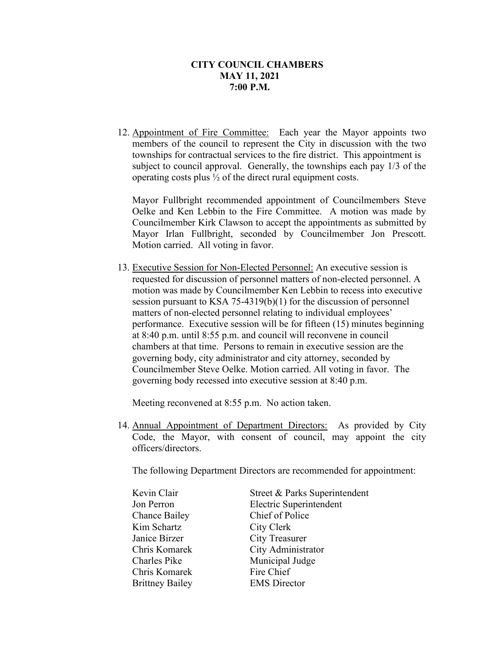12. Appointment of Fire Committee: Each year the Mayor appoints two members of the council to represent the City in discussion with the two townships for contractual services to the fire district. This appointment is subject to council approval. Generally, the townships each pay 1/3 of the operating costs plus ½ of the direct rural equipment costs.

Mayor Fullbright recommended appointment of Councilmembers Steve Oelke and Ken Lebbin to the Fire Committee. A motion was made by Councilmember Kirk Clawson to accept the appointments as submitted by Mayor Irlan Fullbright, seconded by Councilmember Jon Prescott. Motion carried. All voting in favor.

13. Executive Session for Non-Elected Personnel: An executive session is requested for discussion of personnel matters of non-elected personnel. A motion was made by Councilmember Ken Lebbin to recess into executive session pursuant to KSA 75-4319(b)(1) for the discussion of personnel matters of non-elected personnel relating to individual employees' performance. Executive session will be for fifteen (15) minutes beginning at 8:40 p.m. until 8:55 p.m. and council will reconvene in council chambers at that time. Persons to remain in executive session are the governing body, city administrator and city attorney, seconded by Councilmember Steve Oelke. Motion carried. All voting in favor. The governing body recessed into executive session at 8:40 p.m.

Meeting reconvened at 8:55 p.m. No action taken.

14. Annual Appointment of Department Directors: As provided by City Code, the Mayor, with consent of council, may appoint the city officers/directors.

The following Department Directors are recommended for appointment:

| Kevin Clair            | Street & Parks Superintendent |
|------------------------|-------------------------------|
| Jon Perron             | Electric Superintendent       |
| <b>Chance Bailey</b>   | Chief of Police               |
| Kim Schartz            | City Clerk                    |
| Janice Birzer          | <b>City Treasurer</b>         |
| Chris Komarek          | City Administrator            |
| Charles Pike           | Municipal Judge               |
| Chris Komarek          | Fire Chief                    |
| <b>Brittney Bailey</b> | <b>EMS</b> Director           |
|                        |                               |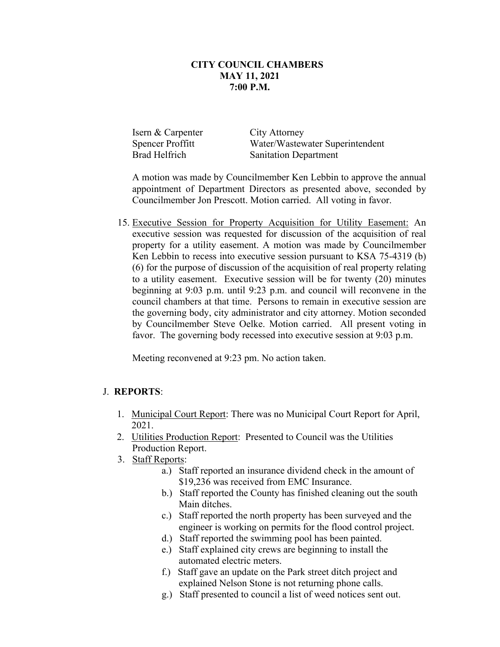Isern & Carpenter City Attorney Spencer Proffitt Water/Wastewater Superintendent Brad Helfrich Sanitation Department

A motion was made by Councilmember Ken Lebbin to approve the annual appointment of Department Directors as presented above, seconded by Councilmember Jon Prescott. Motion carried. All voting in favor.

15. Executive Session for Property Acquisition for Utility Easement: An executive session was requested for discussion of the acquisition of real property for a utility easement. A motion was made by Councilmember Ken Lebbin to recess into executive session pursuant to KSA 75-4319 (b) (6) for the purpose of discussion of the acquisition of real property relating to a utility easement. Executive session will be for twenty (20) minutes beginning at 9:03 p.m. until 9:23 p.m. and council will reconvene in the council chambers at that time. Persons to remain in executive session are the governing body, city administrator and city attorney. Motion seconded by Councilmember Steve Oelke. Motion carried. All present voting in favor. The governing body recessed into executive session at 9:03 p.m.

Meeting reconvened at 9:23 pm. No action taken.

### J. **REPORTS**:

- 1. Municipal Court Report: There was no Municipal Court Report for April, 2021.
- 2. Utilities Production Report: Presented to Council was the Utilities Production Report.
- 3. Staff Reports:
	- a.) Staff reported an insurance dividend check in the amount of \$19,236 was received from EMC Insurance.
	- b.) Staff reported the County has finished cleaning out the south Main ditches.
	- c.) Staff reported the north property has been surveyed and the engineer is working on permits for the flood control project.
	- d.) Staff reported the swimming pool has been painted.
	- e.) Staff explained city crews are beginning to install the automated electric meters.
	- f.) Staff gave an update on the Park street ditch project and explained Nelson Stone is not returning phone calls.
	- g.) Staff presented to council a list of weed notices sent out.